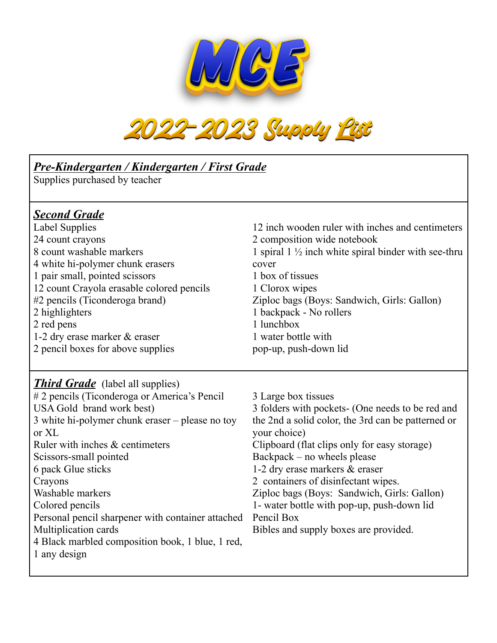



| Pre-Kindergarten / Kindergarten / First Grade<br>Supplies purchased by teacher                                                                                                                                                                                                                                                                                                                                                                                        |                                                                                                                                                                                                                                                                                                                                                                                                                                                           |  |
|-----------------------------------------------------------------------------------------------------------------------------------------------------------------------------------------------------------------------------------------------------------------------------------------------------------------------------------------------------------------------------------------------------------------------------------------------------------------------|-----------------------------------------------------------------------------------------------------------------------------------------------------------------------------------------------------------------------------------------------------------------------------------------------------------------------------------------------------------------------------------------------------------------------------------------------------------|--|
| <b>Second Grade</b><br><b>Label Supplies</b><br>24 count crayons<br>8 count washable markers<br>4 white hi-polymer chunk erasers<br>1 pair small, pointed scissors<br>12 count Crayola erasable colored pencils<br>#2 pencils (Ticonderoga brand)<br>2 highlighters<br>2 red pens<br>1-2 dry erase marker & eraser<br>2 pencil boxes for above supplies                                                                                                               | 12 inch wooden ruler with inches and centimeters<br>2 composition wide notebook<br>1 spiral $1 \frac{1}{2}$ inch white spiral binder with see-thru<br>cover<br>1 box of tissues<br>1 Clorox wipes<br>Ziploc bags (Boys: Sandwich, Girls: Gallon)<br>1 backpack - No rollers<br>1 lunchbox<br>1 water bottle with<br>pop-up, push-down lid                                                                                                                 |  |
| <b>Third Grade</b> (label all supplies)<br>#2 pencils (Ticonderoga or America's Pencil<br>USA Gold brand work best)<br>3 white hi-polymer chunk eraser – please no toy<br>or XL<br>Ruler with inches & centimeters<br>Scissors-small pointed<br>6 pack Glue sticks<br>Crayons<br>Washable markers<br>Colored pencils<br>Personal pencil sharpener with container attached<br>Multiplication cards<br>4 Black marbled composition book, 1 blue, 1 red,<br>1 any design | 3 Large box tissues<br>3 folders with pockets- (One needs to be red and<br>the 2nd a solid color, the 3rd can be patterned or<br>your choice)<br>Clipboard (flat clips only for easy storage)<br>Backpack – no wheels please<br>1-2 dry erase markers & eraser<br>2 containers of disinfectant wipes.<br>Ziploc bags (Boys: Sandwich, Girls: Gallon)<br>1- water bottle with pop-up, push-down lid<br>Pencil Box<br>Bibles and supply boxes are provided. |  |